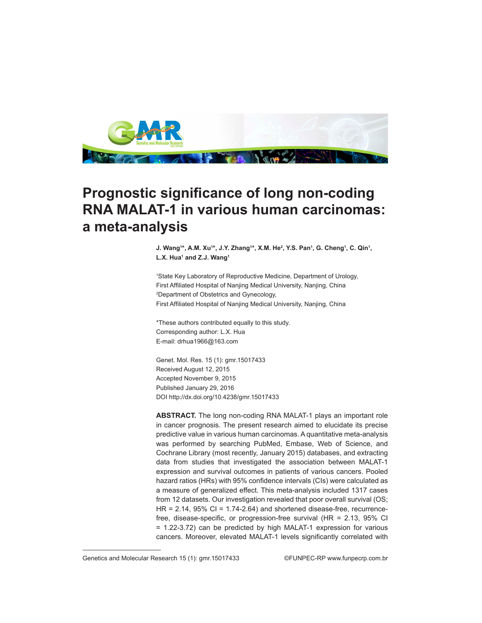

## **Prognostic significance of long non-coding RNA MALAT-1 in various human carcinomas: a meta-analysis**

**J. Wang1 \*, A.M. Xu1 \*, J.Y. Zhang1 \*, X.M. He<sup>2</sup> , Y.S. Pan1 , G. Cheng1 , C. Qin<sup>1</sup> , L.X. Hua1 and Z.J. Wang1**

1 State Key Laboratory of Reproductive Medicine, Department of Urology, First Affiliated Hospital of Nanjing Medical University, Nanjing, China 2 Department of Obstetrics and Gynecology, First Affiliated Hospital of Nanjing Medical University, Nanjing, China

\*These authors contributed equally to this study. Corresponding author: L.X. Hua E-mail: drhua1966@163.com

Genet. Mol. Res. 15 (1): gmr.15017433 Received August 12, 2015 Accepted November 9, 2015 Published January 29, 2016 DOI http://dx.doi.org/10.4238/gmr.15017433

**ABSTRACT.** The long non-coding RNA MALAT-1 plays an important role in cancer prognosis. The present research aimed to elucidate its precise predictive value in various human carcinomas. A quantitative meta-analysis was performed by searching PubMed, Embase, Web of Science, and Cochrane Library (most recently, January 2015) databases, and extracting data from studies that investigated the association between MALAT-1 expression and survival outcomes in patients of various cancers. Pooled hazard ratios (HRs) with 95% confidence intervals (CIs) were calculated as a measure of generalized effect. This meta-analysis included 1317 cases from 12 datasets. Our investigation revealed that poor overall survival (OS;  $HR = 2.14$ ,  $95\%$  CI = 1.74-2.64) and shortened disease-free, recurrencefree, disease-specific, or progression-free survival (HR = 2.13, 95% CI = 1.22-3.72) can be predicted by high MALAT-1 expression for various cancers. Moreover, elevated MALAT-1 levels significantly correlated with